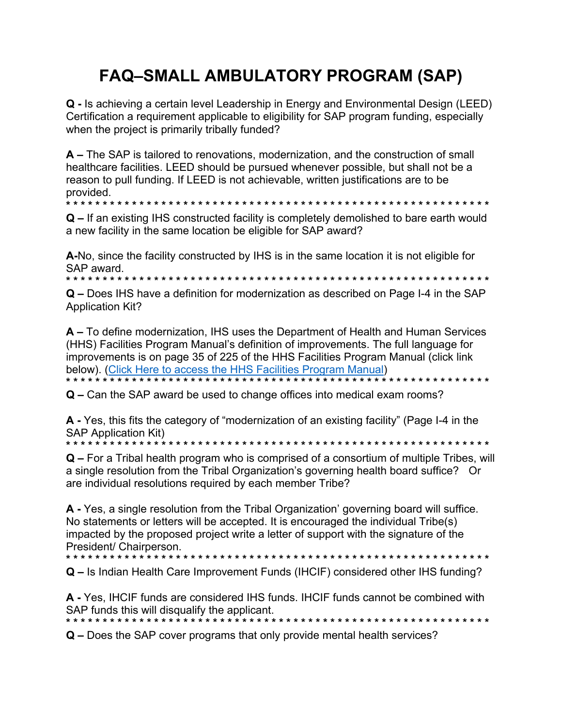## **FAQ-SMALL AMBULATORY PROGRAM (SAP)**

**Q** - Is achieving a certain level Leadership in Energy and Environmental Design (LEED) Certification a requirement applicable to eligibility for SAP program funding, especially when the project is primarily tribally funded?

A – The SAP is tailored to renovations, modernization, and the construction of small healthcare facilities. LEED should be pursued whenever possible, but shall not be a reason to pull funding. If LEED is not achievable, written justifications are to be provided.

.<br><del>1</del> 4 4 4 4 4 .

 $Q$  – If an existing IHS constructed facility is completely demolished to bare earth would a new facility in the same location be eligible for SAP award?

A-No, since the facility constructed by IHS is in the same location it is not eligible for SAP award.

\* \* \* \* \* \* \* \* \*

**Q** – Does IHS have a definition for modernization as described on Page I-4 in the SAP **Application Kit?** 

A – To define modernization, IHS uses the Department of Health and Human Services (HHS) Facilities Program Manual's definition of improvements. The full language for improvements is on page 35 of 225 of the HHS Facilities Program Manual (click link) below). (Click Here to access the HHS Facilities Program Manual) 

Q – Can the SAP award be used to change offices into medical exam rooms?

A - Yes, this fits the category of "modernization of an existing facility" (Page I-4 in the **SAP Application Kit)** 

Q – For a Tribal health program who is comprised of a consortium of multiple Tribes, will a single resolution from the Tribal Organization's governing health board suffice? Or are individual resolutions required by each member Tribe?

A - Yes, a single resolution from the Tribal Organization' governing board will suffice. No statements or letters will be accepted. It is encouraged the individual Tribe(s) impacted by the proposed project write a letter of support with the signature of the President/ Chairperson

Q – Is Indian Health Care Improvement Funds (IHCIF) considered other IHS funding?

A - Yes, IHCIF funds are considered IHS funds. IHCIF funds cannot be combined with SAP funds this will disqualify the applicant. 

**Q** – Does the SAP cover programs that only provide mental health services?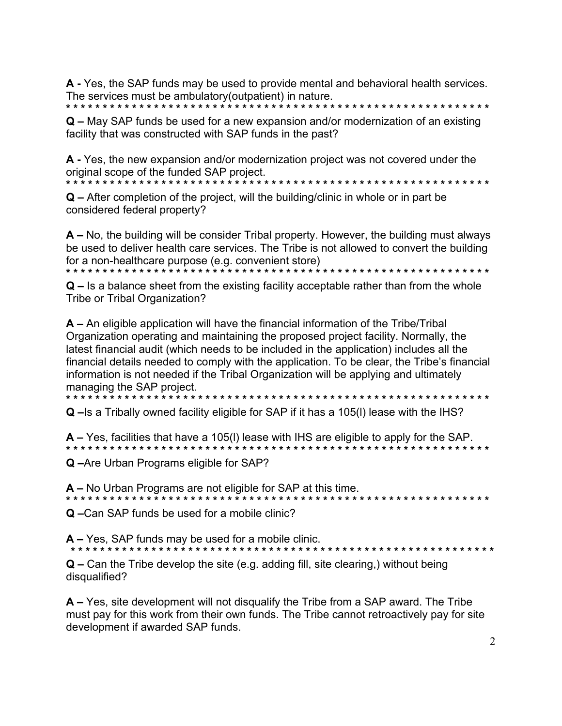A - Yes, the SAP funds may be used to provide mental and behavioral health services. The services must be ambulatory (outpatient) in nature.

 $Q$  – May SAP funds be used for a new expansion and/or modernization of an existing facility that was constructed with SAP funds in the past?

A - Yes, the new expansion and/or modernization project was not covered under the original scope of the funded SAP project.

 $\mathbf{Q}$  – After completion of the project, will the building/clinic in whole or in part be considered federal property?

A – No, the building will be consider Tribal property. However, the building must always be used to deliver health care services. The Tribe is not allowed to convert the building for a non-healthcare purpose (e.g. convenient store)

 $\mathbf Q$  – Is a balance sheet from the existing facility acceptable rather than from the whole Tribe or Tribal Organization?

A – An eligible application will have the financial information of the Tribe/Tribal Organization operating and maintaining the proposed project facility. Normally, the latest financial audit (which needs to be included in the application) includes all the financial details needed to comply with the application. To be clear, the Tribe's financial information is not needed if the Tribal Organization will be applying and ultimately managing the SAP project.

Q - Is a Tribally owned facility eligible for SAP if it has a 105(I) lease with the IHS?

 $A - Yes$ , facilities that have a 105(I) lease with IHS are eligible to apply for the SAP.

Q-Are Urban Programs eligible for SAP?

 $A$  – No Urban Programs are not eligible for SAP at this time. 

Q-Can SAP funds be used for a mobile clinic?

A – Yes, SAP funds may be used for a mobile clinic.

 $Q$  – Can the Tribe develop the site (e.g. adding fill, site clearing,) without being disqualified?

 $\mathsf{A}$  – Yes, site development will not disqualify the Tribe from a SAP award. The Tribe must pay for this work from their own funds. The Tribe cannot retroactively pay for site development if awarded SAP funds.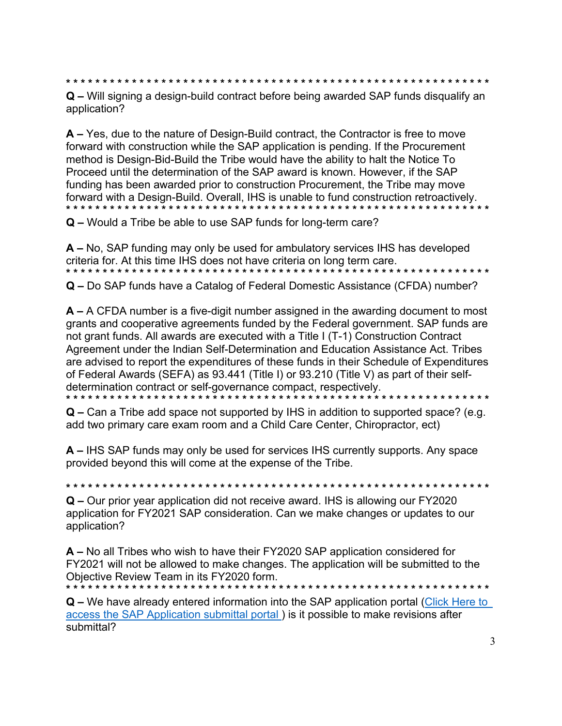Q – Will signing a design-build contract before being awarded SAP funds disqualify an application?

A – Yes, due to the nature of Design-Build contract, the Contractor is free to move forward with construction while the SAP application is pending. If the Procurement method is Design-Bid-Build the Tribe would have the ability to halt the Notice To Proceed until the determination of the SAP award is known. However, if the SAP funding has been awarded prior to construction Procurement, the Tribe may move forward with a Design-Build. Overall, IHS is unable to fund construction retroactively. Q – Would a Tribe be able to use SAP funds for long-term care?

A – No, SAP funding may only be used for ambulatory services IHS has developed criteria for. At this time IHS does not have criteria on long term care. Q - Do SAP funds have a Catalog of Federal Domestic Assistance (CFDA) number?

 $A - A$  CFDA number is a five-digit number assigned in the awarding document to most grants and cooperative agreements funded by the Federal government. SAP funds are not grant funds. All awards are executed with a Title I (T-1) Construction Contract Agreement under the Indian Self-Determination and Education Assistance Act. Tribes are advised to report the expenditures of these funds in their Schedule of Expenditures of Federal Awards (SEFA) as 93.441 (Title I) or 93.210 (Title V) as part of their selfdetermination contract or self-governance compact, respectively. 

 $Q$  – Can a Tribe add space not supported by IHS in addition to supported space? (e.g. add two primary care exam room and a Child Care Center, Chiropractor, ect)

A – IHS SAP funds may only be used for services IHS currently supports. Any space provided beyond this will come at the expense of the Tribe.

Q – Our prior year application did not receive award. IHS is allowing our FY2020 application for FY2021 SAP consideration. Can we make changes or updates to our application?

A – No all Tribes who wish to have their FY2020 SAP application considered for FY2021 will not be allowed to make changes. The application will be submitted to the Objective Review Team in its FY2020 form.

Q – We have already entered information into the SAP application portal (Click Here to access the SAP Application submittal portal) is it possible to make revisions after submittal?